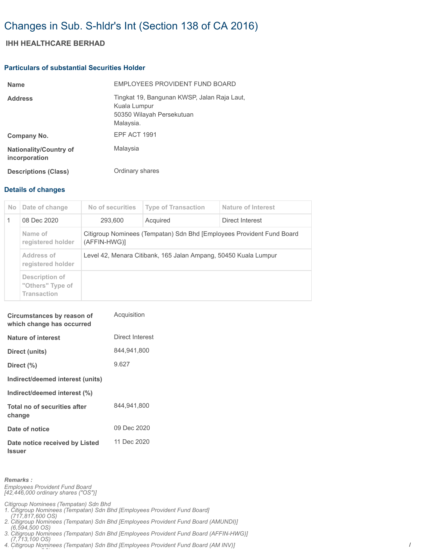# Changes in Sub. S-hldr's Int (Section 138 of CA 2016)

## **IHH HEALTHCARE BERHAD**

#### **Particulars of substantial Securities Holder**

| <b>Name</b>                                    | EMPLOYEES PROVIDENT FUND BOARD                                                                        |
|------------------------------------------------|-------------------------------------------------------------------------------------------------------|
| <b>Address</b>                                 | Tingkat 19, Bangunan KWSP, Jalan Raja Laut,<br>Kuala Lumpur<br>50350 Wilayah Persekutuan<br>Malaysia. |
| Company No.                                    | EPF ACT 1991                                                                                          |
| <b>Nationality/Country of</b><br>incorporation | Malaysia                                                                                              |
| <b>Descriptions (Class)</b>                    | Ordinary shares                                                                                       |

### **Details of changes**

| N <sub>o</sub> | Date of change                                           | No of securities                                                                      | <b>Type of Transaction</b> | Nature of Interest |  |
|----------------|----------------------------------------------------------|---------------------------------------------------------------------------------------|----------------------------|--------------------|--|
| $\mathbf{1}$   | 08 Dec 2020                                              | 293.600                                                                               | Acquired                   | Direct Interest    |  |
|                | Name of<br>registered holder                             | Citigroup Nominees (Tempatan) Sdn Bhd [Employees Provident Fund Board<br>(AFFIN-HWG)] |                            |                    |  |
|                | Address of<br>registered holder                          | Level 42, Menara Citibank, 165 Jalan Ampang, 50450 Kuala Lumpur                       |                            |                    |  |
|                | Description of<br>"Others" Type of<br><b>Transaction</b> |                                                                                       |                            |                    |  |

| Circumstances by reason of<br>which change has occurred | Acquisition     |
|---------------------------------------------------------|-----------------|
| Nature of interest                                      | Direct Interest |
| Direct (units)                                          | 844,941,800     |
| Direct $(\%)$                                           | 9.627           |
| Indirect/deemed interest (units)                        |                 |
| Indirect/deemed interest (%)                            |                 |
| Total no of securities after<br>change                  | 844.941.800     |
| Date of notice                                          | 09 Dec 2020     |
| Date notice received by Listed<br><b>Issuer</b>         | 11 Dec 2020     |

*Remarks : Employees Provident Fund Board [42,446,000 ordinary shares ("OS")]*

*Citigroup Nominees (Tempatan) Sdn Bhd* 

*1. Citigroup Nominees (Tempatan) Sdn Bhd [Employees Provident Fund Board]* 

 *(717,817,600 OS) 2. Citigroup Nominees (Tempatan) Sdn Bhd [Employees Provident Fund Board (AMUNDI)] (6,594,500 OS) 3. Citigroup Nominees (Tempatan) Sdn Bhd [Employees Provident Fund Board (AFFIN-HWG)]* 

 *(7,713,100 OS) 4. Citigroup Nominees (Tempatan) Sdn Bhd [Employees Provident Fund Board (AM INV)]*